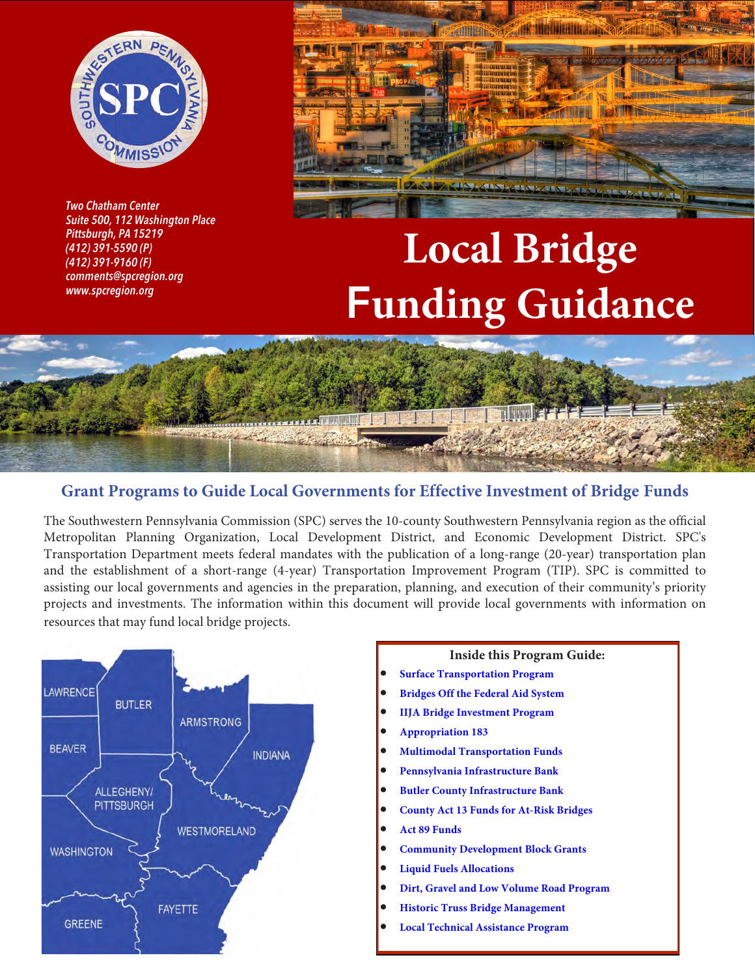

*Two Chatham Center* **Pittsburgh, PA 15219** *Pittsburgh, PA 15219 (412) 391-5590 (P) (412) 391-9160 (F) comments@spcregion.org www.spcregion.org*



# **Local Bridge**  F**unding Guidance**



### **Grant Programs to Guide Local Governments for Effective Investment of Bridge Funds**

The Southwestern Pennsylvania Commission (SPC) serves the 10-county Southwestern Pennsylvania region as the official Metropolitan Planning Organization, Local Development District, and Economic Development District. SPC's Transportation Department meets federal mandates with the publication of a long-range (20-year) transportation plan and the establishment of a short-range (4-year) Transportation Improvement Program (TIP). SPC is committed to assisting our local governments and agencies in the preparation, planning, and execution of their community's priority projects and investments. The information within this document will provide local governments with information on resources that may fund local bridge projects.



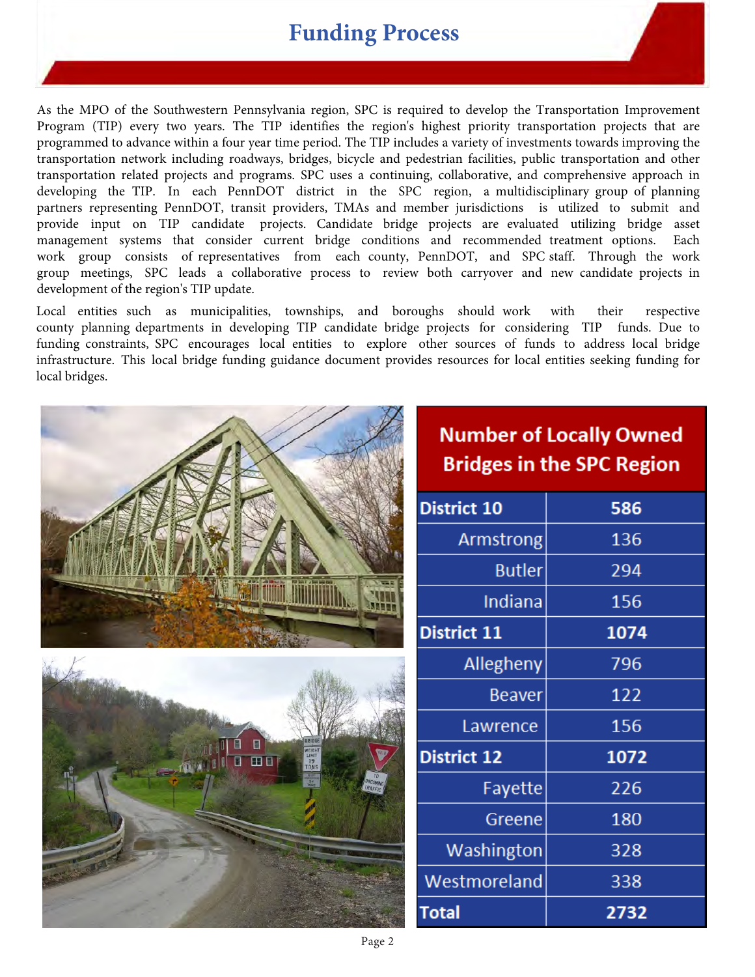### **Funding Process**

As the MPO of the Southwestern Pennsylvania region, SPC is required to develop the Transportation Improvement Program (TIP) every two years. The TIP identifies the region's highest priority transportation projects that are programmed to advance within a four year time period. The TIP includes a variety of investments towards improving the transportation network including roadways, bridges, bicycle and pedestrian facilities, public transportation and other transportation related projects and programs. SPC uses a continuing, collaborative, and comprehensive approach in developing the TIP. In each PennDOT district in the SPC region, a multidisciplinary group of planning partners representing PennDOT, transit providers, TMAs and member jurisdictions is utilized to submit and provide input on TIP candidate projects. Candidate bridge projects are evaluated utilizing bridge asset management systems that consider current bridge conditions and recommended treatment options. Each work group consists of representatives from each county, PennDOT, and SPC staff. Through the work group meetings, SPC leads a collaborative process to review both carryover and new candidate projects in development of the region's TIP update.

Local entities such as municipalities, townships, and boroughs should work with their respective county planning departments in developing TIP candidate bridge projects for considering TIP funds. Due to funding constraints, SPC encourages local entities to explore other sources of funds to address local bridge infrastructure. This local bridge funding guidance document provides resources for local entities seeking funding for local bridges.

|                                                | <b>Number of Locally Owned</b><br><b>Bridges in the SPC Region</b> |      |  |  |
|------------------------------------------------|--------------------------------------------------------------------|------|--|--|
|                                                | <b>District 10</b>                                                 | 586  |  |  |
|                                                | Armstrong                                                          | 136  |  |  |
|                                                | <b>Butler</b>                                                      | 294  |  |  |
|                                                | Indiana                                                            | 156  |  |  |
|                                                | <b>District 11</b>                                                 | 1074 |  |  |
|                                                | Allegheny                                                          | 796  |  |  |
|                                                | <b>Beaver</b>                                                      | 122  |  |  |
|                                                | Lawrence                                                           | 156  |  |  |
| Н<br>LIMIT<br>19<br>TONS<br>田田<br><b>TILVA</b> | <b>District 12</b>                                                 | 1072 |  |  |
| <b>ONCOMING</b>                                | Fayette                                                            | 226  |  |  |
|                                                | Greene                                                             | 180  |  |  |
|                                                | Washington                                                         | 328  |  |  |
|                                                | Westmoreland                                                       | 338  |  |  |
|                                                | <b>Total</b>                                                       | 2732 |  |  |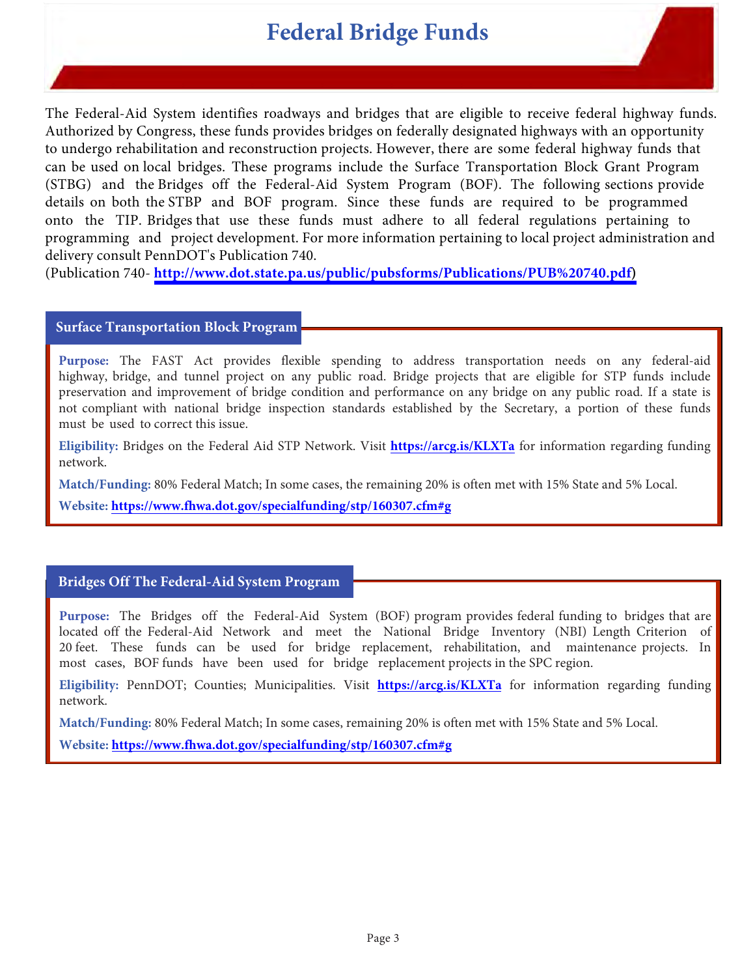# **Federal Bridge Funds**

<span id="page-2-0"></span>The Federal-Aid System identifies roadways and bridges that are eligible to receive federal highway funds. Authorized by Congress, these funds provides bridges on federally designated highways with an opportunity to undergo rehabilitation and reconstruction projects. However, there are some federal highway funds that can be used on local bridges. These programs include the Surface Transportation Block Grant Program (STBG) and the Bridges off the Federal-Aid System Program (BOF). The following sections provide details on both the STBP and BOF program. Since these funds are required to be programmed onto the TIP. Bridges that use these funds must adhere to all federal regulations pertaining to programming and project development. For more information pertaining to local project administration and delivery consult PennDOT's Publication 740.

(Publication 740- **[http://www.dot.state.pa.us/public/pubsforms/Publications/PUB%20740.pdf\)](http://www.dot.state.pa.us/public/pubsforms/Publications/PUB%20740.pdf)**

#### **Surface Transportation Block Program**

**Purpose:** The FAST Act provides flexible spending to address transportation needs on any federal-aid highway, bridge, and tunnel project on any public road. Bridge projects that are eligible for STP funds include preservation and improvement of bridge condition and performance on any bridge on any public road. If a state is not compliant with national bridge inspection standards established by the Secretary, a portion of these funds must be used to correct this issue.

**Eligibility:** Bridges on the Federal Aid STP Network. Visit **<https://arcg.is/KLXTa>** for information regarding funding network.

**Match/Funding:** 80% Federal Match; In some cases, the remaining 20% is often met with 15% State and 5% Local.

**Website: <https://www.fhwa.dot.gov/specialfunding/stp/160307.cfm#g>** 

#### **Bridges Off The Federal-Aid System Program**

**Purpose:** The Bridges off the Federal-Aid System (BOF) program provides federal funding to bridges that are located off the Federal-Aid Network and meet the National Bridge Inventory (NBI) Length Criterion of 20 feet. These funds can be used for bridge replacement, rehabilitation, and maintenance projects. In most cases, BOF funds have been used for bridge replacement projects in the SPC region.

**Eligibility:** PennDOT; Counties; Municipalities. Visit **<https://arcg.is/KLXTa>** for information regarding funding network.

**Match/Funding:** 80% Federal Match; In some cases, remaining 20% is often met with 15% State and 5% Local.

**Website: <https://www.fhwa.dot.gov/specialfunding/stp/160307.cfm#g>**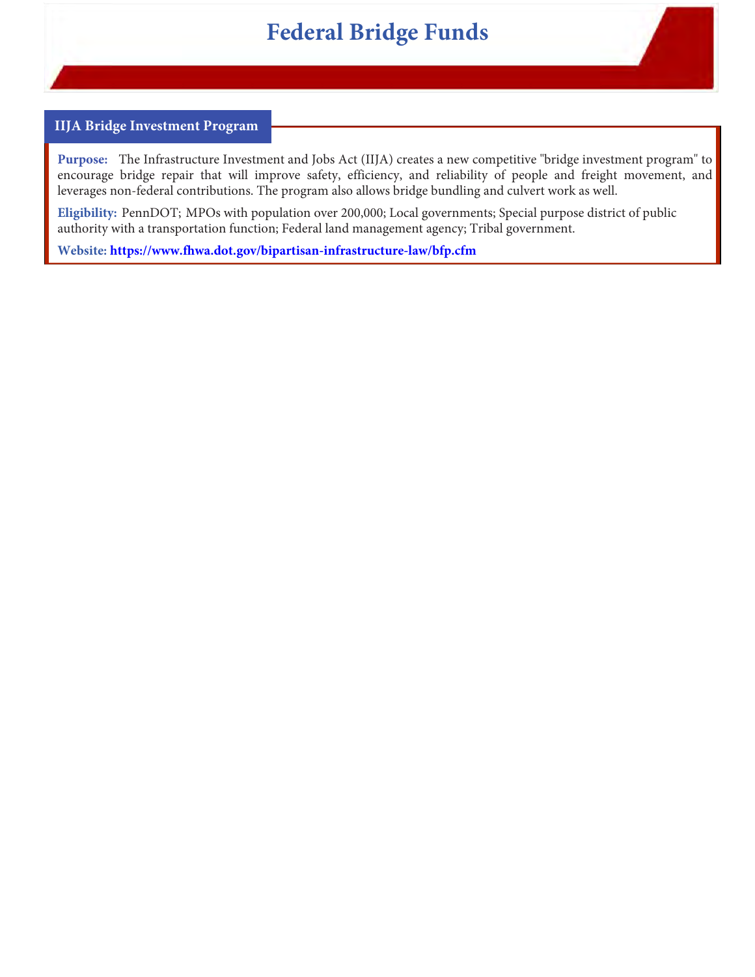# **Federal Bridge Funds**

#### **IIJA Bridge Investment Program**

**Purpose:** The Infrastructure Investment and Jobs Act (IIJA) creates a new competitive "bridge investment program" to encourage bridge repair that will improve safety, efficiency, and reliability of people and freight movement, and leverages non-federal contributions. The program also allows bridge bundling and culvert work as well.

**Eligibility:** PennDOT; MPOs with population over 200,000; Local governments; Special purpose district of public authority with a transportation function; Federal land management agency; Tribal government.

**Website: https://www.fhwa.dot.gov/bipartisan-infrastructure-law/bfp.cfm**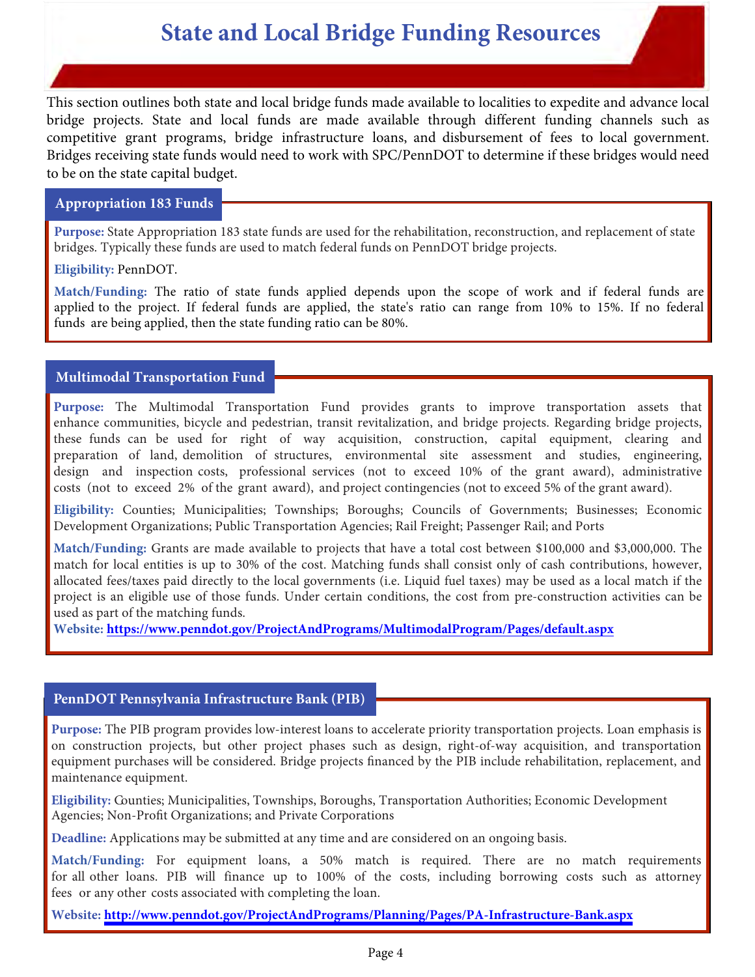<span id="page-4-0"></span>This section outlines both state and local bridge funds made available to localities to expedite and advance local bridge projects. State and local funds are made available through different funding channels such as competitive grant programs, bridge infrastructure loans, and disbursement of fees to local government. Bridges receiving state funds would need to work with SPC/PennDOT to determine if these bridges would need to be on the state capital budget.

#### **Appropriation 183 Funds**

**Purpose:** State Appropriation 183 state funds are used for the rehabilitation, reconstruction, and replacement of state bridges. Typically these funds are used to match federal funds on PennDOT bridge projects.

#### **Eligibility:** PennDOT.

**Match/Funding:** The ratio of state funds applied depends upon the scope of work and if federal funds are applied to the project. If federal funds are applied, the state's ratio can range from 10% to 15%. If no federal funds are being applied, then the state funding ratio can be 80%.

#### **Multimodal Transportation Fund**

**Purpose:** The Multimodal Transportation Fund provides grants to improve transportation assets that enhance communities, bicycle and pedestrian, transit revitalization, and bridge projects. Regarding bridge projects, these funds can be used for right of way acquisition, construction, capital equipment, clearing and preparation of land, demolition of structures, environmental site assessment and studies, engineering, design and inspection costs, professional services (not to exceed 10% of the grant award), administrative costs (not to exceed 2% of the grant award), and project contingencies (not to exceed 5% of the grant award).

**Eligibility:** Counties; Municipalities; Townships; Boroughs; Councils of Governments; Businesses; Economic Development Organizations; Public Transportation Agencies; Rail Freight; Passenger Rail; and Ports

**Match/Funding:** Grants are made available to projects that have a total cost between \$100,000 and \$3,000,000. The match for local entities is up to 30% of the cost. Matching funds shall consist only of cash contributions, however, allocated fees/taxes paid directly to the local governments (i.e. Liquid fuel taxes) may be used as a local match if the project is an eligible use of those funds. Under certain conditions, the cost from pre-construction activities can be used as part of the matching funds.

**Website: <https://www.penndot.gov/ProjectAndPrograms/MultimodalProgram/Pages/default.aspx>**

#### **PennDOT Pennsylvania Infrastructure Bank (PIB)**

**Purpose:** The PIB program provides low-interest loans to accelerate priority transportation projects. Loan emphasis is on construction projects, but other project phases such as design, right-of-way acquisition, and transportation equipment purchases will be considered. Bridge projects financed by the PIB include rehabilitation, replacement, and maintenance equipment.

**Eligibility:** Counties; Municipalities, Townships, Boroughs, Transportation Authorities; Economic Development Agencies; Non-Profit Organizations; and Private Corporations

**Deadline:** Applications may be submitted at any time and are considered on an ongoing basis.

**Match/Funding:** For equipment loans, a 50% match is required. There are no match requirements for all other loans. PIB will finance up to 100% of the costs, including borrowing costs such as attorney fees or any other costs associated with completing the loan.

**Website:<http://www.penndot.gov/ProjectAndPrograms/Planning/Pages/PA-Infrastructure-Bank.aspx>**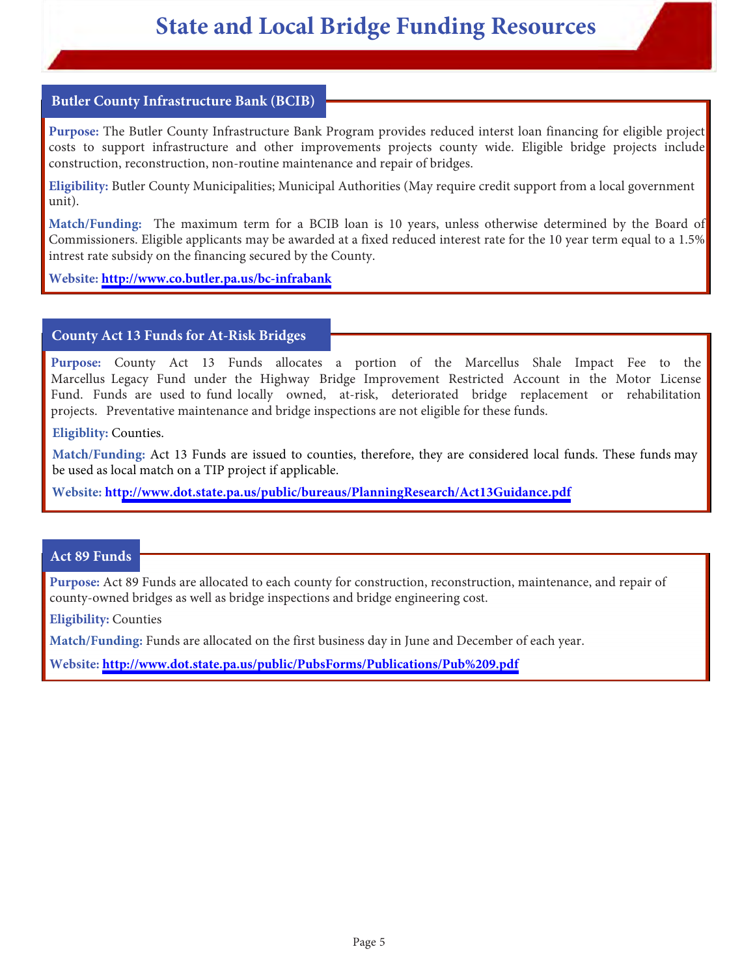#### <span id="page-5-0"></span>**Butler County Infrastructure Bank (BCIB)**

**Purpose:** The Butler County Infrastructure Bank Program provides reduced interst loan financing for eligible project costs to support infrastructure and other improvements projects county wide. Eligible bridge projects include construction, reconstruction, non-routine maintenance and repair of bridges.

**Eligibility:** Butler County Municipalities; Municipal Authorities (May require credit support from a local government unit).

**Match/Funding:** The maximum term for a BCIB loan is 10 years, unless otherwise determined by the Board of Commissioners. Eligible applicants may be awarded at a fixed reduced interest rate for the 10 year term equal to a 1.5% intrest rate subsidy on the financing secured by the County.

**Website:<http://www.co.butler.pa.us/bc-infrabank>**

#### **County Act 13 Funds for At-Risk Bridges**

**Purpose:** County Act 13 Funds allocates a portion of the Marcellus Shale Impact Fee to the Marcellus Legacy Fund under the Highway Bridge Improvement Restricted Account in the Motor License Fund. Funds are used to fund locally owned, at-risk, deteriorated bridge replacement or rehabilitation projects. Preventative maintenance and bridge inspections are not eligible for these funds.

#### **Eligiblity:** Counties.

**Match/Funding:** Act 13 Funds are issued to counties, therefore, they are considered local funds. These funds may be used as local match on a TIP project if applicable.

**Website: htt[p://www.dot.state.pa.us/public/bureaus/PlanningResearch/Act13Guidance.pdf](http://www.dot.state.pa.us/public/bureaus/PlanningResearch/Act13Guidance.pdf)**

#### **Act 89 Funds**

**Purpose:** Act 89 Funds are allocated to each county for construction, reconstruction, maintenance, and repair of county-owned bridges as well as bridge inspections and bridge engineering cost.

**Eligibility:** Counties

**Match/Funding:** Funds are allocated on the first business day in June and December of each year.

**Website:<http://www.dot.state.pa.us/public/PubsForms/Publications/Pub%209.pdf>**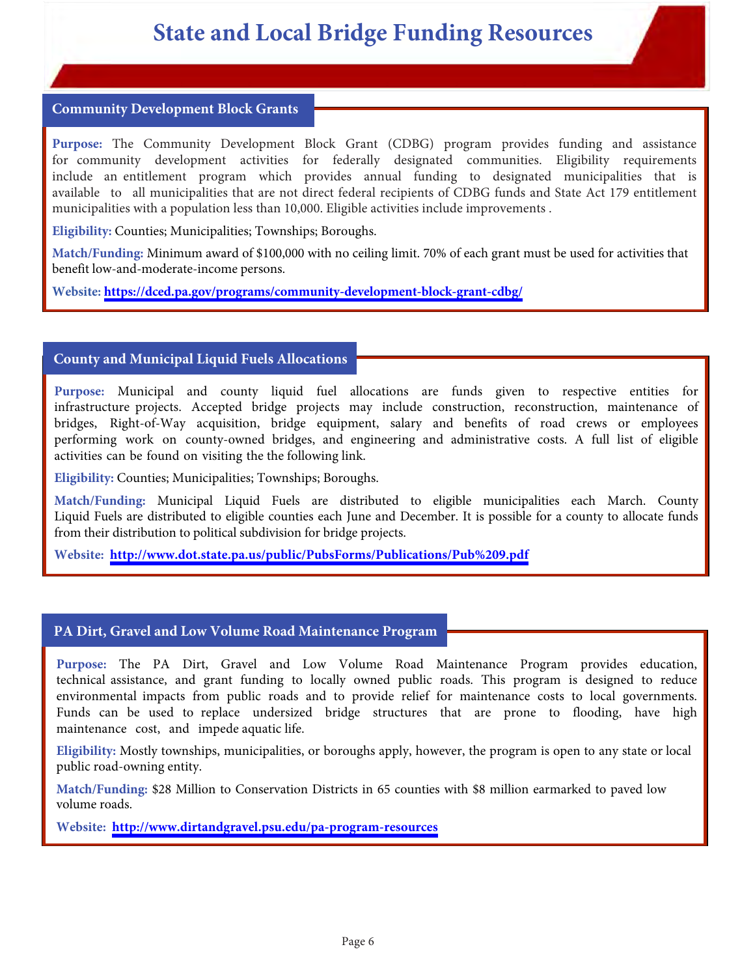#### <span id="page-6-0"></span>**Community Development Block Grants**

**Purpose:** The Community Development Block Grant (CDBG) program provides funding and assistance for community development activities for federally designated communities. Eligibility requirements include an entitlement program which provides annual funding to designated municipalities that is available to all municipalities that are not direct federal recipients of CDBG funds and State Act 179 entitlement municipalities with a population less than 10,000. Eligible activities include improvements .

**Eligibility:** Counties; Municipalities; Townships; Boroughs.

**Match/Funding:** Minimum award of \$100,000 with no ceiling limit. 70% of each grant must be used for activities that benefit low-and-moderate-income persons.

**Website:<https://dced.pa.gov/programs/community-development-block-grant-cdbg/>** 

#### **County and Municipal Liquid Fuels Allocations**

**Purpose:** Municipal and county liquid fuel allocations are funds given to respective entities for infrastructure projects. Accepted bridge projects may include construction, reconstruction, maintenance of bridges, Right-of-Way acquisition, bridge equipment, salary and benefits of road crews or employees performing work on county-owned bridges, and engineering and administrative costs. A full list of eligible activities can be found on visiting the the following link.

**Eligibility:** Counties; Municipalities; Townships; Boroughs.

**Match/Funding:** Municipal Liquid Fuels are distributed to eligible municipalities each March. County Liquid Fuels are distributed to eligible counties each June and December. It is possible for a county to allocate funds from their distribution to political subdivision for bridge projects.

**Website: <http://www.dot.state.pa.us/public/PubsForms/Publications/Pub%209.pdf>**

#### **PA Dirt, Gravel and Low Volume Road Maintenance Program**

**Purpose:** The PA Dirt, Gravel and Low Volume Road Maintenance Program provides education, technical assistance, and grant funding to locally owned public roads. This program is designed to reduce environmental impacts from public roads and to provide relief for maintenance costs to local governments. Funds can be used to replace undersized bridge structures that are prone to flooding, have high maintenance cost, and impede aquatic life.

**Eligibility:** Mostly townships, municipalities, or boroughs apply, however, the program is open to any state or local public road-owning entity.

**Match/Funding:** \$28 Million to Conservation Districts in 65 counties with \$8 million earmarked to paved low volume roads.

**Website: <http://www.dirtandgravel.psu.edu/pa-program-resources>**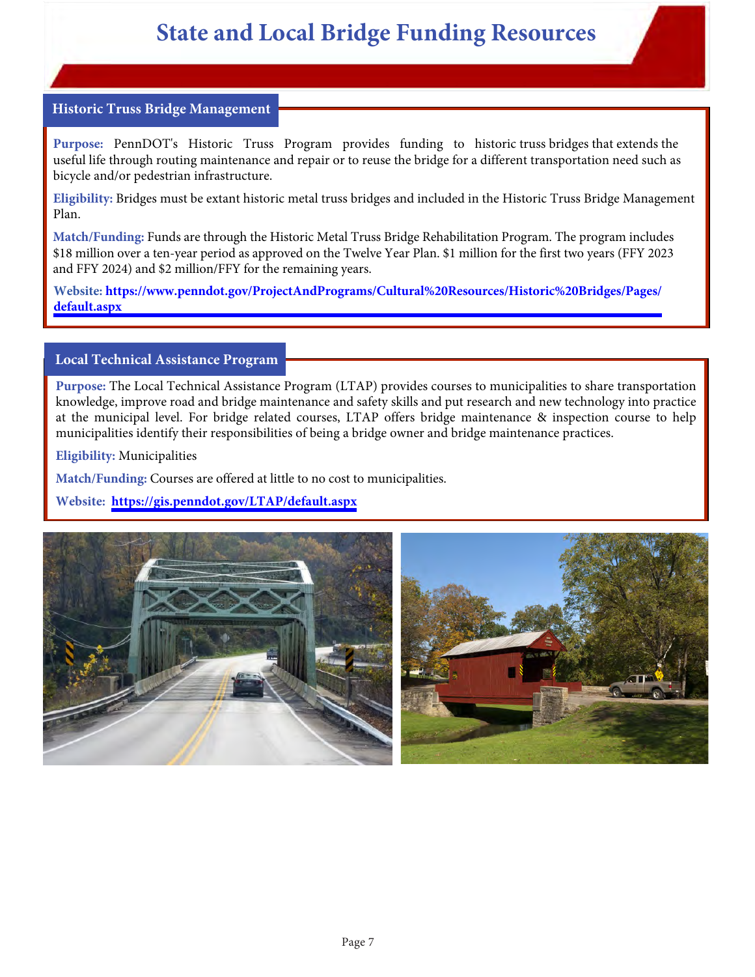#### <span id="page-7-0"></span>**Historic Truss Bridge Management**

**Purpose:** PennDOT's Historic Truss Program provides funding to historic truss bridges that extends the useful life through routing maintenance and repair or to reuse the bridge for a different transportation need such as bicycle and/or pedestrian infrastructure.

**Eligibility:** Bridges must be extant historic metal truss bridges and included in the Historic Truss Bridge Management Plan.

**Match/Funding:** Funds are through the Historic Metal Truss Bridge Rehabilitation Program. The program includes \$18 million over a ten-year period as approved on the Twelve Year Plan. \$1 million for the first two years (FFY 2023 and FFY 2024) and \$2 million/FFY for the remaining years.

**[Website: https://www.penndot.gov/ProjectAndPrograms/Cultural%20Resources/Historic%20Bridges/Pages/](https://www.penndot.gov/ProjectAndPrograms/Cultural%20Resources/Historic%20Bridges/Pages/default.aspx) default.aspx**

#### **Local Technical Assistance Program**

**Purpose:** The Local Technical Assistance Program (LTAP) provides courses to municipalities to share transportation knowledge, improve road and bridge maintenance and safety skills and put research and new technology into practice at the municipal level. For bridge related courses, LTAP offers bridge maintenance & inspection course to help municipalities identify their responsibilities of being a bridge owner and bridge maintenance practices.

**Eligibility:** Municipalities

**Match/Funding:** Courses are offered at little to no cost to municipalities.

**Website: <https://gis.penndot.gov/LTAP/default.aspx>**